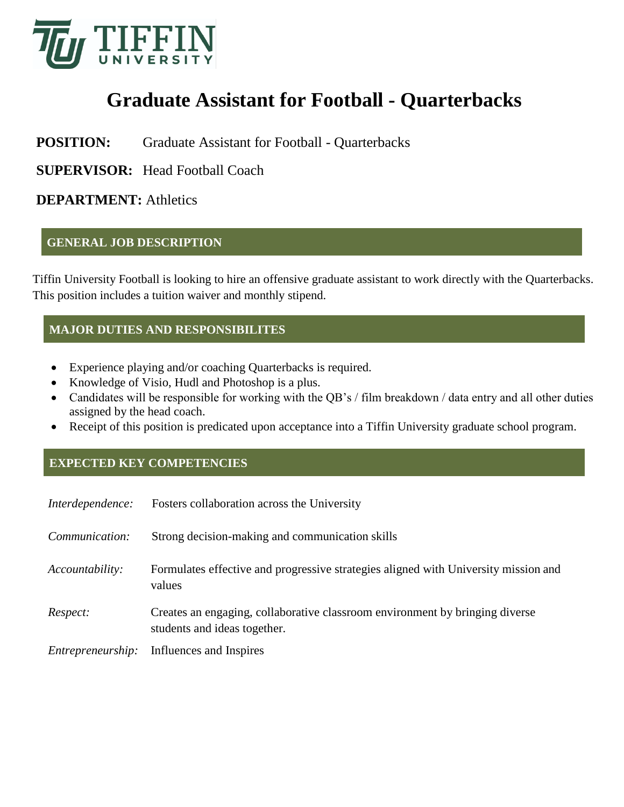

# **Graduate Assistant for Football - Quarterbacks**

## **POSITION:** Graduate Assistant for Football - Quarterbacks

**SUPERVISOR:** Head Football Coach

## **DEPARTMENT:** Athletics

#### **GENERAL JOB DESCRIPTION**

Tiffin University Football is looking to hire an offensive graduate assistant to work directly with the Quarterbacks. This position includes a tuition waiver and monthly stipend.

### **MAJOR DUTIES AND RESPONSIBILITES**

- Experience playing and/or coaching Quarterbacks is required.
- Knowledge of Visio, Hudl and Photoshop is a plus.
- Candidates will be responsible for working with the QB's / film breakdown / data entry and all other duties assigned by the head coach.
- Receipt of this position is predicated upon acceptance into a Tiffin University graduate school program.

#### **EXPECTED KEY COMPETENCIES**

| Interdependence:  | Fosters collaboration across the University                                                                  |
|-------------------|--------------------------------------------------------------------------------------------------------------|
| Communication:    | Strong decision-making and communication skills                                                              |
| Accountability:   | Formulates effective and progressive strategies aligned with University mission and<br>values                |
| Respect:          | Creates an engaging, collaborative classroom environment by bringing diverse<br>students and ideas together. |
| Entrepreneurship: | Influences and Inspires                                                                                      |